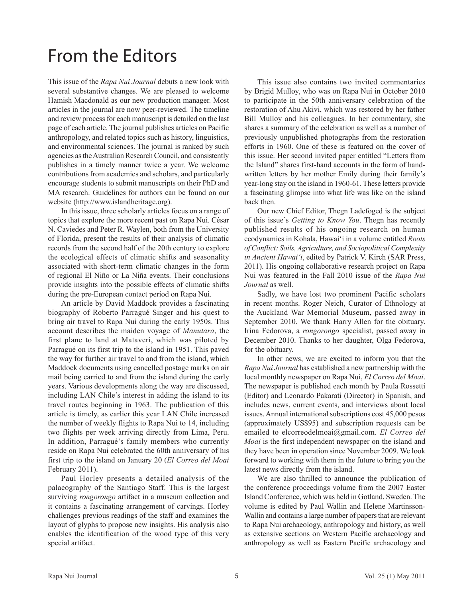## From the Editors

This issue of the Rapa Nui Journal debuts a new look with several substantive changes. We are pleased to welcome Hamish Macdonald as our new production manager. Most articles in the journal are now peer-reviewed. The timeline and review process for each manuscript is detailed on the last page of each article. The journal publishes articles on Pacific anthropology, and related topics such as history, linguistics, and environmental sciences. The journal is ranked by such agencies as the Australian Research Council, and consistently publishes in a timely manner twice a year. We welcome contributions from academics and scholars, and particularly encourage students to submit manuscripts on their PhD and MA research. Guidelines for authors can be found on our website (http://www.islandheritage.org).

In this issue, three scholarly articles focus on a range of topics that explore the more recent past on Rapa Nui. César N. Caviedes and Peter R. Waylen, both from the University of Florida, present the results of their analysis of climatic records from the second half of the 20th century to explore the ecological effects of climatic shifts and seasonality associated with short-term climatic changes in the form of regional El Niño or La Niña events. Their conclusions provide insights into the possible effects of climatic shifts during the pre-European contact period on Rapa Nui.

An article by David Maddock provides a fascinating biography of Roberto Parragué Singer and his quest to bring air travel to Rapa Nui during the early 1950s. This account describes the maiden voyage of Manutara, the first plane to land at Mataveri, which was piloted by Parragué on its first trip to the island in 1951. This paved the way for further air travel to and from the island, which Maddock documents using cancelled postage marks on air mail being carried to and from the island during the early years. Various developments along the way are discussed, including LAN Chile's interest in adding the island to its travel routes beginning in 1963. The publication of this article is timely, as earlier this year LAN Chile increased the number of weekly flights to Rapa Nui to 14, including two flights per week arriving directly from Lima, Peru. In addition, Parragué's family members who currently reside on Rapa Nui celebrated the 60th anniversary of his first trip to the island on January 20 (El Correo del Moai February 2011).

Paul Horley presents a detailed analysis of the palaeography of the Santiago Staff. This is the largest surviving *rongorongo* artifact in a museum collection and it contains a fascinating arrangement of carvings. Horley challenges previous readings of the staff and examines the layout of glyphs to propose new insights. His analysis also enables the identification of the wood type of this very special artifact.

This issue also contains two invited commentaries by Brigid Mulloy, who was on Rapa Nui in October 2010 to participate in the 50th anniversary celebration of the restoration of Ahu Akivi, which was restored by her father Bill Mulloy and his colleagues. In her commentary, she shares a summary of the celebration as well as a number of previously unpublished photographs from the restoration efforts in 1960. One of these is featured on the cover of this issue. Her second invited paper entitled "Letters from the Island" shares first-hand accounts in the form of handwritten letters by her mother Emily during their family's year-long stay on the island in 1960-61. These letters provide a fascinating glimpse into what life was like on the island back then.

Our new Chief Editor, Thegn Ladefoged is the subject of this issue's Getting to Know You. Thegn has recently published results of his ongoing research on human ecodynamics in Kohala, Hawai'i in a volume entitled Roots of Conflict: Soils, Agriculture, and Sociopolitical Complexity in Ancient Hawai'i, edited by Patrick V. Kirch (SAR Press, 2011). His ongoing collaborative research project on Rapa Nui was featured in the Fall 2010 issue of the Rapa Nui Journal as well.

Sadly, we have lost two prominent Pacific scholars in recent months. Roger Neich, Curator of Ethnology at the Auckland War Memorial Museum, passed away in September 2010. We thank Harry Allen for the obituary. Irina Fedorova, a rongorongo specialist, passed away in December 2010. Thanks to her daughter, Olga Fedorova, for the obituary.

In other news, we are excited to inform you that the Rapa Nui Journal has established a new partnership with the local monthly newspaper on Rapa Nui, El Correo del Moai. The newspaper is published each month by Paula Rossetti (Editor) and Leonardo Pakarati (Director) in Spanish, and includes news, current events, and interviews about local issues. Annual international subscriptions cost 45,000 pesos (approximately US\$95) and subscription requests can be emailed to elcorreodelmoai@gmail.com. El Correo del Moai is the first independent newspaper on the island and they have been in operation since November 2009. We look forward to working with them in the future to bring you the latest news directly from the island.

We are also thrilled to announce the publication of the conference proceedings volume from the 2007 Easter Island Conference, which was held in Gotland, Sweden. The volume is edited by Paul Wallin and Helene Martinsson-Wallin and contains a large number of papers that are relevant to Rapa Nui archaeology, anthropology and history, as well as extensive sections on Western Pacific archaeology and anthropology as well as Eastern Pacific archaeology and